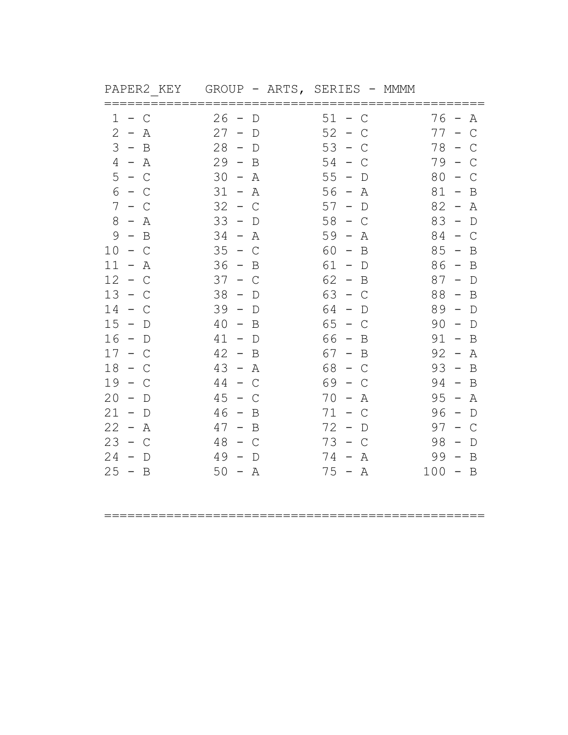| ד כתוב הזור דעד | <b>POTTO</b><br>$\sqrt{1111}$ | <b>OUITILIO</b> | титити    |
|-----------------|-------------------------------|-----------------|-----------|
| $1 - C$         | $26 - D$                      | $51 - C$        | $76 - A$  |
| $2 - A$         | $27 - D$                      | $52 - C$        | $77 - C$  |
| $3 - B$         | $28 - D$                      | $53 - C$        | $78 - C$  |
| $4 - A$         | $29 - B$                      | $54 - C$        | $79 - C$  |
| $5 - C$         | $30 - A$                      | $55 - D$        | $80 - C$  |
| $6 - C$         | $31 - A$                      | $56 - A$        | $81 - B$  |
| $7 - C$         | $32 - C$                      | $57 - D$        | $82 - A$  |
| $8 - A$         | $33 - D$                      | $58 - C$        | $83 - D$  |
| $9 - B$         | $34 - A$                      | $59 - A$        | $84 - C$  |
| $10 - C$        | $35 - C$                      | $60 - B$        | $85 - B$  |
| $11 - A$        | $36 - B$                      | $61 - D$        | $86 - B$  |
| $12 - C$        | $37 - C$                      | $62 - B$        | $87 - D$  |
| $13 - C$        | $38 - D$                      | $63 - C$        | $88 - B$  |
| $14 - C$        | $39 - D$                      | $64 - D$        | $89 - D$  |
| $15 - D$        | $40 - B$                      | $65 - C$        | $90 - D$  |
| $16 - D$        | $41 - D$                      | $66 - B$        | $91 - B$  |
| $17 - C$        | $42 - B$                      | $67 - B$        | $92 - A$  |
| $18 - C$        | $43 - A$                      | $68 - C$        | $93 - B$  |
| $19 - C$        | $44 - C$                      | $69 - C$        | $94 - B$  |
| $20 - D$        | $45 - C$                      | $70 - A$        | $95 - A$  |
| $21 - D$        | $46 - B$                      | $71 - C$        | $96 - D$  |
| $22 - A$        | $47 - B$                      | $72 - D$        | $97 - C$  |
| $23 - C$        | $48 - C$                      | $73 - C$        | $98 - D$  |
| $24 - D$        | $49 - D$                      | $74 - A$        | $99 - B$  |
| $25 - B$        | $50 - A$                      | $75 - A$        | $100 - B$ |
|                 |                               |                 |           |

PAPER2 KEY GROUP - ARTS, SERIES - MMMM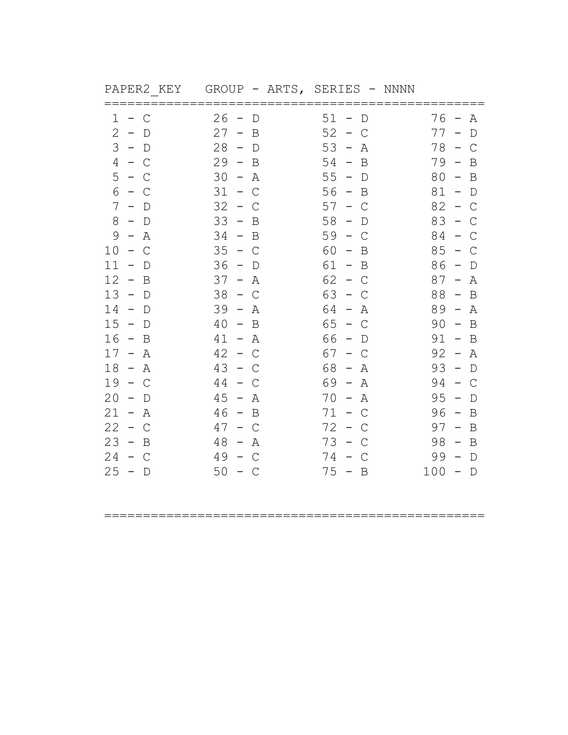| PAPER2 KEY                                                                                                                                                                                                                                                                                                                                             | GROUP - ARTS, SERIES - NNNN                                                                                                                                                                                                                                                                                                                                                                                                                                                                  |                                                                                                                                                                                                                                                                                                                                                                                                                                                                                                    |                                                                                                                                                                                                                                                                                                                                                                                                                                                                |
|--------------------------------------------------------------------------------------------------------------------------------------------------------------------------------------------------------------------------------------------------------------------------------------------------------------------------------------------------------|----------------------------------------------------------------------------------------------------------------------------------------------------------------------------------------------------------------------------------------------------------------------------------------------------------------------------------------------------------------------------------------------------------------------------------------------------------------------------------------------|----------------------------------------------------------------------------------------------------------------------------------------------------------------------------------------------------------------------------------------------------------------------------------------------------------------------------------------------------------------------------------------------------------------------------------------------------------------------------------------------------|----------------------------------------------------------------------------------------------------------------------------------------------------------------------------------------------------------------------------------------------------------------------------------------------------------------------------------------------------------------------------------------------------------------------------------------------------------------|
| 1<br>$-$ C<br>2<br>$-$ D<br>$3 - D$<br>4<br>C<br>$\sim$<br>5<br>$-$ C<br>6<br>$-$ C<br>7<br>$-$<br>$\Box$<br>8<br>$-$ D<br>9<br>A<br>$\overline{\phantom{0}}$<br>10<br>$\mathcal{C}$<br>$\sim$<br>11<br>$\overline{\phantom{m}}$<br>D<br>12<br>B<br>$\sim$<br>13<br>$-$ D<br>14<br>$\mathbb D$<br>$\hspace{0.1mm}-\hspace{0.1mm}$<br>15<br>$\sim$<br>D | ======<br>26<br>$\overline{\phantom{a}}$<br>D<br>27<br>B<br>$\hspace{0.1cm}$ $\hspace{0.1cm}$<br>28<br>$\sim$<br>$\mathbb D$<br>29<br>B<br>$\sim$<br>30<br>– A<br>31<br>$\mathsf{C}$<br>$\overline{\phantom{0}}$<br>32<br>$\overline{\phantom{m}}$<br>C<br>33<br>$\overline{\phantom{0}}$<br>B<br>34<br>$-$ B<br>35<br>$\overline{a}$<br>$\mathcal{C}$<br>36<br>$\overline{\phantom{0}}$<br>D<br>37<br>$-$<br>Α<br>38<br>$-$ C<br>39<br>Α<br>$\overline{\phantom{0}}$<br>40<br>B<br>$\equiv$ | 51<br>$\mathbb D$<br>$\overline{\phantom{0}}$<br>52<br>$\mathsf{C}$<br>$\sim$<br>53<br>Α<br>$\hspace{0.1mm}-\hspace{0.1mm}$<br>54<br>B<br>$\overline{\phantom{m}}$<br>$55 - D$<br>$56 - B$<br>57<br>C<br>$\overline{\phantom{m}}$<br>58<br>$\overline{\phantom{a}}$<br>D<br>59<br>C<br>$\overline{a}$<br>60<br>B<br>$\qquad \qquad -$<br>61 -<br>B<br>62<br>$\mathsf{C}$<br>$\hspace{0.1mm}-\hspace{0.1mm}$<br>63<br>$-$ C<br>64<br>Α<br>$\sim$<br>65<br>$\mathcal{C}$<br>$\overline{\phantom{0}}$ | 76<br>Α<br>$\overline{\phantom{m}}$<br>77<br>$\mathbb D$<br>$78 -$<br>$\mathsf{C}$<br>79<br>B<br>$80 -$<br>$\overline{B}$<br>81<br>$\mathbb D$<br>$\overline{\phantom{0}}$<br>82<br>$\mathsf{C}$<br>$\overline{\phantom{m}}$<br>83<br>C<br>$\overline{\phantom{0}}$<br>84<br>C<br>$\overline{\phantom{m}}$<br>85<br>$\mathsf{C}$<br>86<br>D<br>87<br>Α<br>$\overline{\phantom{m}}$<br>88<br>$-$ B<br>$89 -$<br>Α<br>90<br>B<br>$\hspace{0.1mm}-\hspace{0.1mm}$ |
| 16<br>B<br>$\sim$<br>17<br>– A<br>18<br>$\sim$<br>A<br>$19 -$<br>C<br>20<br>D<br>$\overline{\phantom{m}}$<br>21<br>– A<br>22<br>$-$ C<br>23<br>$\sim$<br>B<br>24<br>$-$ C<br>25<br>$-$ D                                                                                                                                                               | 41<br>– A<br>42<br>$-$ C<br>43<br>$\sim$<br>C<br>44<br>C<br>$\equiv$ .<br>45<br>$-$<br>Α<br>46<br>$-$ B<br>47<br>$-$ C<br>48<br>Α<br>$ \,$<br>49<br>C<br>$\sim$<br>50<br>$-$ C                                                                                                                                                                                                                                                                                                               | 66<br>$\qquad \qquad -$<br>D<br>67<br>C<br>$\sim$<br>68<br>Α<br>$\hspace{0.1mm}-\hspace{0.1mm}$<br>69 -<br>Α<br>70<br>Α<br>$\overline{\phantom{m}}$<br>$71 - C$<br>72<br>C<br>$\sim$<br>73<br>$\hspace{0.1mm}-\hspace{0.1mm}$<br>C<br>74 -<br>C<br>$75 - B$                                                                                                                                                                                                                                        | 91<br>$\overline{B}$<br>$\overline{\phantom{0}}$<br>92<br>Α<br>$\overline{\phantom{0}}$<br>93<br>$\mathbb D$<br>94<br>C<br>$\overline{\phantom{0}}$<br>95<br>D<br>96<br>B<br>$\hspace{0.1mm}-\hspace{0.1mm}$<br>$97 -$<br>B<br>98<br>B<br>$\qquad \qquad -$<br>99<br>$\mathbb D$<br>$-$<br>100<br>$\mathbb D$<br>$\overline{\phantom{0}}$                                                                                                                      |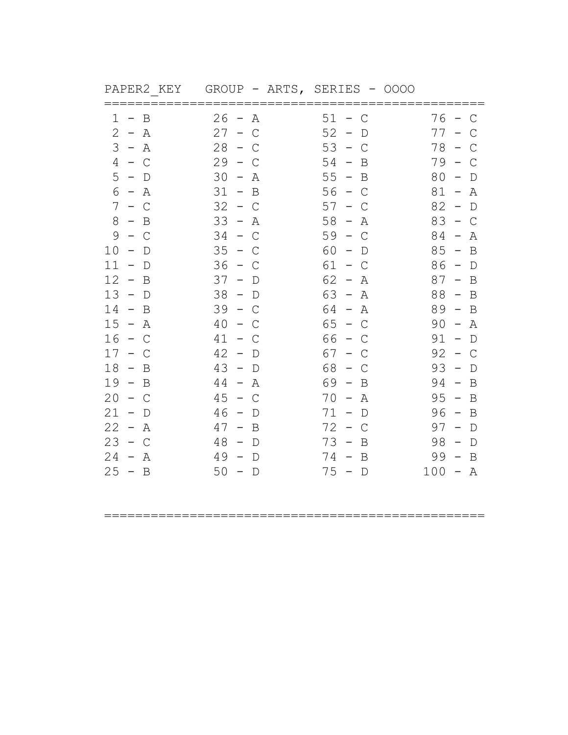|          | FAFERZ KEI GROUF – ARIS, | OUVU - QUATU |           |
|----------|--------------------------|--------------|-----------|
|          |                          |              |           |
| $1 - B$  | $26 - A$                 | $51 - C$     | $76 - C$  |
| $2 - A$  | $27 - C$                 | $52 - D$     | $77 - C$  |
| $3 - A$  | $28 - C$                 | $53 - C$     | $78 - C$  |
| $4 - C$  | $29 - C$                 | $54 - B$     | $79 - C$  |
| $5 - D$  | $30 - A$                 | $55 - B$     | $80 - D$  |
| $6 - A$  | $31 - B$                 | $56 - C$     | $81 - A$  |
| $7 - C$  | $32 - C$                 | $57 - C$     | $82 - D$  |
| $8 - B$  | $33 - A$                 | $58 - A$     | $83 - C$  |
| $9 - C$  | $34 - C$                 | $59 - C$     | $84 - A$  |
| $10 - D$ | $35 - C$                 | $60 - D$     | $85 - B$  |
| $11 - D$ | $36 - C$                 | $61 - C$     | $86 - D$  |
| $12 - B$ | $37 - D$                 | $62 - A$     | $87 - B$  |
| $13 - D$ | $38 - D$                 | $63 - A$     | $88 - B$  |
| $14 - B$ | $39 - C$                 | $64 - A$     | $89 - B$  |
| $15 - A$ | $40 - C$                 | $65 - C$     | $90 - A$  |
| $16 - C$ | $41 - C$                 | $66 - C$     | $91 - D$  |
| $17 - C$ | $42 - D$                 | $67 - C$     | $92 - C$  |
| $18 - B$ | $43 - D$                 | $68 - C$     | $93 - D$  |
| $19 - B$ | $44 - A$                 | $69 - B$     | $94 - B$  |
|          |                          |              |           |
| $20 - C$ | $45 - C$                 | $70 - A$     | $95 - B$  |
| $21 - D$ | $46 - D$                 | $71 - D$     | $96 - B$  |
| $22 - A$ | $47 - B$                 | $72 - C$     | $97 - D$  |
| $23 - C$ | $48 - D$                 | $73 - B$     | $98 - D$  |
| $24 - A$ | $49 - D$                 | $74 - B$     | $99 - B$  |
| $25 - B$ | $50 - D$                 | $75 - D$     | $100 - A$ |
|          |                          |              |           |

|  | PAPER2 KEY GROUP - ARTS, SERIES - 0000 |  |  |  |
|--|----------------------------------------|--|--|--|
|  |                                        |  |  |  |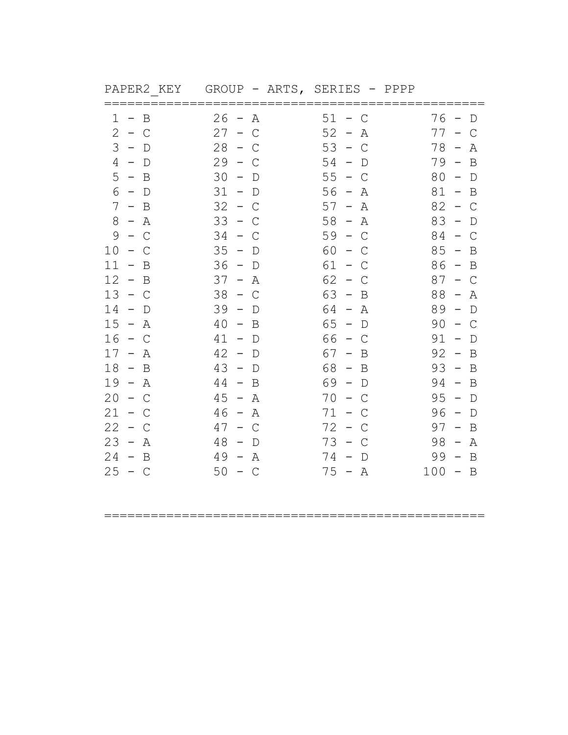|          |          |          | ==================== |
|----------|----------|----------|----------------------|
| $1 - B$  | $26 - A$ | $51 - C$ | $76 - D$             |
| $2 - C$  | $27 - C$ | $52 - A$ | $77 - C$             |
| $3 - D$  | $28 - C$ | $53 - C$ | $78 - A$             |
| $4 - D$  | $29 - C$ | $54 - D$ | $79 - B$             |
| $5 - B$  | $30 - D$ | $55 - C$ | $80 - D$             |
| $6 - D$  | $31 - D$ | $56 - A$ | $81 - B$             |
| $7 - B$  | $32 - C$ | $57 - A$ | $82 - C$             |
| $8 - A$  | $33 - C$ | $58 - A$ | $83 - D$             |
| $9 - C$  | $34 - C$ | $59 - C$ | $84 - C$             |
| $10 - C$ | $35 - D$ | $60 - C$ | $85 - B$             |
| $11 - B$ | $36 - D$ | $61 - C$ | $86 - B$             |
| $12 - B$ | $37 - A$ | $62 - C$ | $87 - C$             |
| $13 - C$ | $38 - C$ | $63 - B$ | $88 - A$             |
| $14 - D$ | $39 - D$ | $64 - A$ | $89 - D$             |
| $15 - A$ | $40 - B$ | $65 - D$ | $90 - C$             |
| $16 - C$ | $41 - D$ | $66 - C$ | $91 - D$             |
| $17 - A$ | $42 - D$ | $67 - B$ | $92 - B$             |
| $18 - B$ | $43 - D$ | $68 - B$ | $93 - B$             |
| $19 - A$ | $44 - B$ | $69 - D$ | $94 - B$             |
| $20 - C$ | $45 - A$ | $70 - C$ | $95 - D$             |
| $21 - C$ | $46 - A$ | $71 - C$ | $96 - D$             |
| $22 - C$ | $47 - C$ | $72 - C$ | $97 - B$             |
| $23 - A$ | $48 - D$ | $73 - C$ | $98 - A$             |
| $24 - B$ | $49 - A$ | $74 - D$ | $99 - B$             |
| $25 - C$ | $50 - C$ | $75 - A$ | $100 - B$            |
|          |          |          |                      |

PAPER2\_KEY GROUP - ARTS, SERIES - PPPP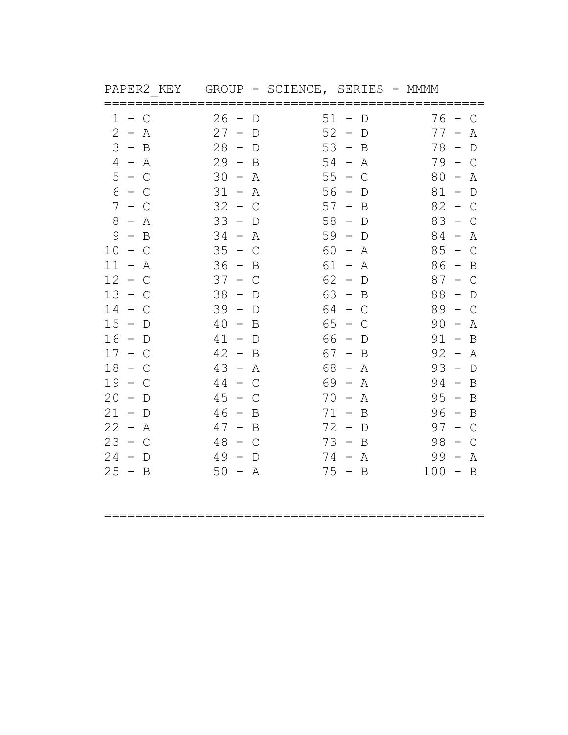|                                               |                                         | ММММ                                                                                                                                                                                                                                  |
|-----------------------------------------------|-----------------------------------------|---------------------------------------------------------------------------------------------------------------------------------------------------------------------------------------------------------------------------------------|
| 26<br>D<br>$\overline{\phantom{a}}$           | $\mathbb D$                             | 76<br>$\mathsf{C}$<br>$\sim$                                                                                                                                                                                                          |
| 27<br>$\overline{\phantom{m}}$<br>D           | $\hspace{0.1mm}-\hspace{0.1mm}$<br>D    | 77<br>Α                                                                                                                                                                                                                               |
| 28<br>$-$ D                                   | B                                       | 78<br>$\hspace{0.1mm}-\hspace{0.1mm}$<br>D                                                                                                                                                                                            |
| $29 - B$                                      | Α                                       | 79 –<br>$\mathcal{C}$                                                                                                                                                                                                                 |
| 30<br>$\hspace{0.1mm}-\hspace{0.1mm}$<br>A    | $\sim$<br>$\mathsf{C}$                  | 80<br>Α<br>$\overline{\phantom{0}}$                                                                                                                                                                                                   |
| 31<br>$\hspace{0.1mm}-\hspace{0.1mm}$<br>Α    | D                                       | 81<br>$\hspace{0.1mm}-\hspace{0.1mm}$<br>$\mathbb D$                                                                                                                                                                                  |
| 32<br>$\equiv$<br>С                           | Β<br>$\qquad \qquad -$                  | 82<br>C<br>$\hspace{0.1mm}-\hspace{0.1mm}$                                                                                                                                                                                            |
| 33<br>$-$ D                                   | $-$ D                                   | 83<br>$-$ C                                                                                                                                                                                                                           |
| 34<br>A<br>$\overline{\phantom{0}}$           | $\hspace{0.1mm}-\hspace{0.1mm}$<br>D    | 84<br>Α<br>$\overline{\phantom{0}}$                                                                                                                                                                                                   |
| 35<br>$\sim$<br>C                             | Α<br>$\hspace{0.1mm}-\hspace{0.1mm}$    | 85<br>$\mathsf{C}$<br>$\overline{\phantom{0}}$                                                                                                                                                                                        |
| 36<br>B<br>$\overline{\phantom{0}}$           | Α<br>$\sim$                             | 86<br>B<br>$\hspace{0.1mm}-\hspace{0.1mm}$                                                                                                                                                                                            |
| 37<br>$\overline{\phantom{m}}$<br>C           | $\mathbb D$                             | 87<br>C<br>$\overline{\phantom{0}}$                                                                                                                                                                                                   |
| 38<br>$-$ D                                   |                                         | 88<br>$\Box$<br>$\overline{\phantom{a}}$                                                                                                                                                                                              |
| 39<br>$-$ D                                   |                                         | 89<br>$\mathsf{C}$<br>$\sim$                                                                                                                                                                                                          |
| 40<br>B<br>$\equiv$                           | $\sim$<br>C                             | 90<br>Α<br>$\overline{\phantom{a}}$                                                                                                                                                                                                   |
| 41<br>$-$ D                                   | – D                                     | 91<br>$-$ B                                                                                                                                                                                                                           |
| 42<br>$-$ B                                   | B                                       | 92<br>$\hspace{0.1mm}-\hspace{0.1mm}$<br>Α                                                                                                                                                                                            |
| 43<br>– A                                     | $\hspace{0.1mm}-\hspace{0.1mm}$<br>Α    | 93<br>$\overline{a}$<br>$\mathbb D$                                                                                                                                                                                                   |
| 44<br>$\mathsf{C}$<br>$\equiv$ .              | Α                                       | 94<br>$\sim$<br>B                                                                                                                                                                                                                     |
| 45<br>$\overline{\phantom{m}}$<br>C           | Α<br>$\hspace{0.1mm}-\hspace{0.1mm}$    | 95<br>$\hspace{0.1mm}-\hspace{0.1mm}$<br>B                                                                                                                                                                                            |
| 46<br>$-$ B                                   |                                         | $96 - B$                                                                                                                                                                                                                              |
| 47<br>$-$ B                                   | $\overline{\phantom{0}}$<br>$\mathbb D$ | 97<br>$\mathsf{C}$<br>$\overline{\phantom{a}}$                                                                                                                                                                                        |
| 48<br>C<br>$\overline{\phantom{0}}$           | B                                       | 98<br>C<br>$\overline{\phantom{0}}$                                                                                                                                                                                                   |
| 49<br>$\overline{\phantom{a}}$<br>$\mathbb D$ | Α                                       | 99<br>Α<br>$\overline{\phantom{m}}$                                                                                                                                                                                                   |
| $50 - A$                                      |                                         | $100 - B$                                                                                                                                                                                                                             |
|                                               |                                         | GROUP - SCIENCE, SERIES<br>$51 -$<br>52<br>$53 -$<br>$54 -$<br>55<br>$56 -$<br>57<br>58<br>59<br>60<br>61<br>$62 -$<br>$63 - B$<br>$64 - C$<br>65<br>66<br>67 –<br>68<br>69 -<br>70<br>$71 - B$<br>72<br>$73 -$<br>$74 -$<br>$75 - B$ |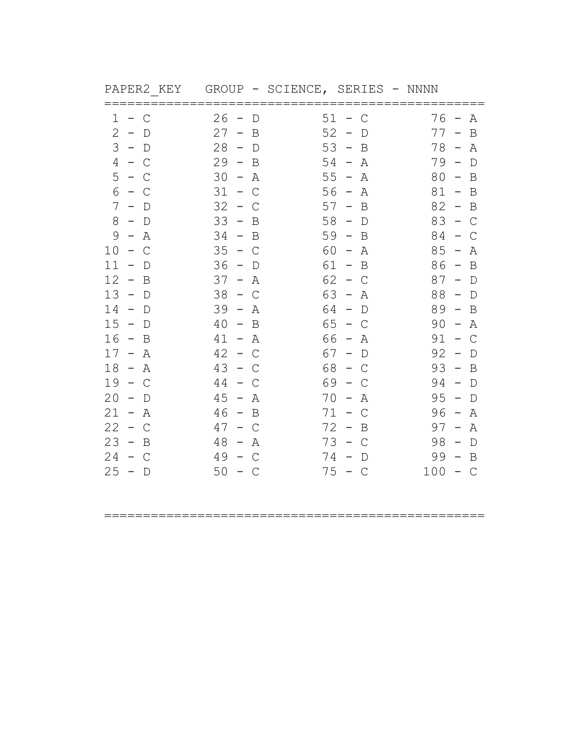| PAPER2 KEY                                                                                                                             | GROUP - SCIENCE, SERIES - NNNN                                                                                                                                                                                                                                                                                                                                                                                                                                    |                                                                                                                                                                                                                       |
|----------------------------------------------------------------------------------------------------------------------------------------|-------------------------------------------------------------------------------------------------------------------------------------------------------------------------------------------------------------------------------------------------------------------------------------------------------------------------------------------------------------------------------------------------------------------------------------------------------------------|-----------------------------------------------------------------------------------------------------------------------------------------------------------------------------------------------------------------------|
| 1<br>C<br>$\mathbf{2}$<br>$-$ D<br>3<br>$-$ D<br>4<br>$-$ C<br>5<br>$-$ C<br>6<br>C<br>$\sim$<br>7<br>$\mathbb D$<br>$\qquad \qquad -$ | 26<br>51<br>D<br>С<br>52<br>27<br>B<br>$\overline{\phantom{m}}$<br>$\hspace{0.1mm}-\hspace{0.1mm}$<br>D<br>53<br>28<br>$-$ D<br>B<br>$\overline{\phantom{0}}$<br>29<br>54<br>B<br>Α<br>$\overline{\phantom{m}}$<br>$\hspace{0.1mm}-\hspace{0.1mm}$<br>30<br>$55 -$<br>$\overline{\phantom{0}}$<br>Α<br>Α<br>31<br>56<br>$\mathsf{C}$<br>$\hspace{0.1mm}-\hspace{0.1mm}$<br>Α<br>$\hspace{0.1mm}-\hspace{0.1mm}$<br>32<br>57<br>B<br>C<br>$\overline{\phantom{m}}$ | 76<br>Α<br>77<br>B<br>$\qquad \qquad -$<br>78<br>Α<br>$\overline{\phantom{m}}$<br>79<br>D<br>80<br>B<br>$\hspace{0.1mm}-\hspace{0.1mm}$<br>81<br>B<br>$\overline{\phantom{0}}$<br>82<br>B<br>$\overline{\phantom{a}}$ |
| 8<br>$-$ D<br>9<br>Α<br>$-$<br>10<br>C<br>$\sim$                                                                                       | 33<br>58<br>$\sim$<br>B<br>$\hspace{0.1cm}$ $\hspace{0.1cm}$<br>D<br>59<br>34<br>B<br>B<br>$-$<br>$\hspace{0.1mm}-\hspace{0.1mm}$<br>35<br>60<br>$\sim$<br>$\mathsf{C}$<br>Α<br>$\hspace{0.1mm}-\hspace{0.1mm}$                                                                                                                                                                                                                                                   | 83<br>$\mathcal{C}$<br>$\qquad \qquad -$<br>84<br>C<br>85<br>Α<br>$\overline{a}$                                                                                                                                      |
| 11<br>D<br>12<br>$\equiv$<br>B<br>13<br>$-$ D                                                                                          | 36<br>61<br>B<br>D<br>$\overline{\phantom{0}}$<br>$\overline{\phantom{0}}$<br>62<br>37<br>$\equiv$<br>Α<br>$\overline{\phantom{m}}$<br>C<br>38<br>63<br>$-$ C<br>$\overline{\phantom{0}}$<br>Α                                                                                                                                                                                                                                                                    | 86<br>B<br>$\overline{\phantom{0}}$<br>87<br>$\overline{\phantom{m}}$<br>D<br>88<br>$-$ D                                                                                                                             |
| 14<br>D<br>$\overline{\phantom{m}}$<br>15<br>$\overline{\phantom{a}}$<br>$\mathbb D$<br>16<br>B<br>$\sim$                              | 39<br>64<br>D<br>$\hspace{0.1mm}-\hspace{0.1mm}$<br>Α<br>$\hspace{0.1mm}-\hspace{0.1mm}$<br>65<br>40<br>B<br>C<br>$ \,$<br>66 -<br>41<br>Α<br>Α<br>$\overline{\phantom{a}}$                                                                                                                                                                                                                                                                                       | $89 -$<br>B<br>90<br>Α<br>$\overline{\phantom{a}}$<br>91<br>$\mathsf{C}$                                                                                                                                              |
| 17<br>$-$ .<br>A<br>18<br>$- A$<br>19<br>$-$ C                                                                                         | 42<br>67<br>$\overline{a}$<br>C<br>$\mathbb D$<br>$\overline{\phantom{m}}$<br>43<br>68<br>$\mathcal{C}$<br>C<br>$\overline{\phantom{m}}$<br>$\sim$<br>69<br>44<br>C<br>$\sim$<br>C<br>$-$                                                                                                                                                                                                                                                                         | 92<br>$\mathbb D$<br>93<br>$\mathbf B$<br>$\hspace{0.1mm}-\hspace{0.1mm}$<br>94<br>$\mathbb D$<br>$\overline{\phantom{m}}$                                                                                            |
| 20<br>D<br>21<br>$- A$<br>22<br>$\mathsf{C}$<br>$\sim$<br>23<br>$-$ .<br>B<br>24<br>$-$ C<br>25<br>- D<br>$\overline{\phantom{a}}$     | 45<br>70<br>Α<br>Α<br>$\overline{\phantom{m}}$<br>71<br>46<br>$-$ B<br>C<br>72<br>47<br>B<br>C<br>$-$<br>$\overline{\phantom{m}}$<br>73<br>48<br>$\mathcal{C}$<br>Α<br>$\overline{\phantom{a}}$<br>$ \,$<br>49<br>74<br>$\mathcal{C}$<br>$\mathbb D$<br>50<br>75<br>$-$ C<br>$-$ C                                                                                                                                                                                | 95<br>$\mathbb D$<br>96<br>Α<br>$\overline{\phantom{m}}$<br>97<br>Α<br>$\overline{\phantom{m}}$<br>98<br>D<br>$\overline{\phantom{m}}$<br>99<br>B<br>100<br>$-$ C                                                     |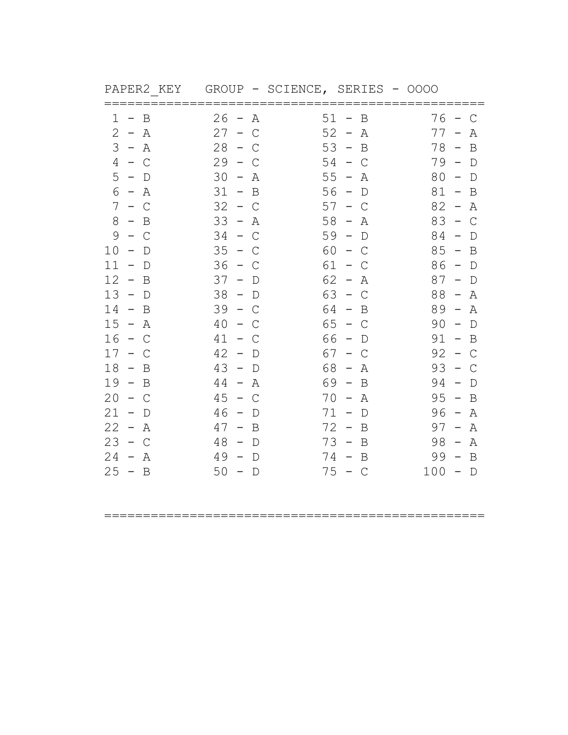| PAPER2 KEY                                      | GROUP - SCIENCE, SERIES - 0000                  |                                                      |                                                       |
|-------------------------------------------------|-------------------------------------------------|------------------------------------------------------|-------------------------------------------------------|
| ======<br>1<br>B                                | 26<br>Α<br>$\hspace{0.1cm}$ $\hspace{0.1cm}$    | 51<br>B                                              | 76<br>C                                               |
| $\mathbf{2}$<br>$- A$                           | 27<br>$\overline{\phantom{a}}$<br>$\mathcal{C}$ | 52<br>$\hspace{0.1mm}-\hspace{0.1mm}$<br>Α           | 77<br>Α                                               |
| 3<br>– A                                        | 28<br>C                                         | 53<br>B<br>$\hspace{0.1mm}-\hspace{0.1mm}$           | 78<br>B                                               |
| $4 - C$                                         | 29<br>C                                         | 54<br>C                                              | 79<br>D<br>$\overline{\phantom{0}}$                   |
| 5<br>$-$ D                                      | 30<br>Α<br>$\overline{\phantom{a}}$             | $55 -$<br>Α                                          | 80<br>$\mathbb D$<br>$\hspace{0.1mm}-\hspace{0.1mm}$  |
| 6<br>– A                                        | 31<br>$-$ B                                     | 56<br>$\mathbb D$<br>$\hspace{0.1mm}-\hspace{0.1mm}$ | 81<br>B<br>$\overline{\phantom{0}}$                   |
| 7<br>$-$ C                                      | 32<br>C                                         | 57<br>$\mathsf C$<br>$\overline{\phantom{m}}$        | 82<br>Α<br>$\overline{\phantom{m}}$                   |
| 8<br>$-$ B                                      | 33<br>Α<br>$\overline{\phantom{0}}$             | $58 -$<br>Α                                          | 83<br>$\mathsf{C}$<br>$\hspace{0.1mm}-\hspace{0.1mm}$ |
| 9<br>C                                          | 34<br>C                                         | 59<br>D<br>$\overline{\phantom{a}}$                  | 84<br>D                                               |
| 10<br>$\mathbb D$<br>$\overline{\phantom{m}}$   | 35<br>$\overline{\phantom{m}}$<br>C             | 60<br>C<br>$-$                                       | 85<br>B<br>$\overline{\phantom{0}}$                   |
| 11<br>D                                         | 36<br>С                                         | 61<br>C<br>$\qquad \qquad -$                         | 86<br>$\mathbb D$<br>$\overline{\phantom{0}}$         |
| 12<br>$\overline{\phantom{m}}$<br>B             | 37<br>$\overline{\phantom{m}}$<br>D             | 62<br>Α<br>$\overline{\phantom{m}}$                  | 87<br>$\mathbb D$<br>$\qquad \qquad -$                |
| 13<br>$\sim$<br>$\Box$                          | 38<br>$-$ D                                     | 63<br>C<br>$\sim$                                    | 88<br>Α<br>$\hspace{0.1mm}-\hspace{0.1mm}$            |
| 14<br>B<br>$\overline{\phantom{m}}$             | 39<br>C<br>$\overline{\phantom{0}}$             | 64<br>B<br>$\hspace{0.1mm}-\hspace{0.1mm}$           | 89<br>Α<br>$\overline{\phantom{0}}$                   |
| 15<br>$\sim$<br>Α                               | 40<br>C                                         | 65<br>C<br>$\overline{\phantom{m}}$                  | 90<br>D                                               |
| 16<br>$\sim$<br>C                               | 41<br>$-$ .<br>С                                | 66<br>D                                              | 91<br>$\overline{\phantom{m}}$<br>B                   |
| 17<br>C                                         | 42<br>$\overline{\phantom{m}}$<br>D             | 67<br>C                                              | 92<br>С                                               |
| 18<br>$-$ B                                     | 43<br>$-$ D                                     | 68<br>Α<br>$\overline{\phantom{a}}$                  | 93<br>C<br>$\overline{\phantom{m}}$                   |
| 19<br>$\sim$ .<br>B                             | 44<br>$-$ .<br>Α                                | 69<br>B<br>$\sim$                                    | 94<br>$\mathbb D$                                     |
| 20<br>C<br>$\overline{\phantom{0}}$             | 45<br>$\overline{\phantom{m}}$<br>C             | 70<br>Α<br>$\overline{\phantom{m}}$                  | 95<br>B<br>$\overline{\phantom{m}}$                   |
| 21<br>$\hspace{0.1mm}-\hspace{0.1mm}$<br>$\Box$ | 46<br>$\hspace{0.1mm}-\hspace{0.1mm}$<br>D      | $71 -$<br>D                                          | 96<br>Α<br>$\overline{\phantom{0}}$                   |
| 22<br>Α<br>$\overline{\phantom{0}}$             | 47<br>B<br>$\overline{\phantom{0}}$             | 72<br>B<br>$\overline{\phantom{0}}$                  | 97<br>Α<br>$\hspace{0.1mm}-\hspace{0.1mm}$            |
| 23<br>$-$ C                                     | 48<br>D<br>$-$                                  | 73<br>B<br>$\overline{\phantom{a}}$                  | 98<br>Α<br>$\hspace{0.1mm}-\hspace{0.1mm}$            |
| 24<br>$\sim$<br>Α                               | 49<br>D<br>$\overline{\phantom{m}}$             | 74<br>B<br>$\overline{\phantom{m}}$                  | 99<br>B<br>$\overline{\phantom{0}}$                   |
| 25<br>$-$ B                                     | 50<br>$\Box$<br>$-$                             | 75<br>$-$ C                                          | 100<br>$\Box$<br>$\overline{\phantom{a}}$             |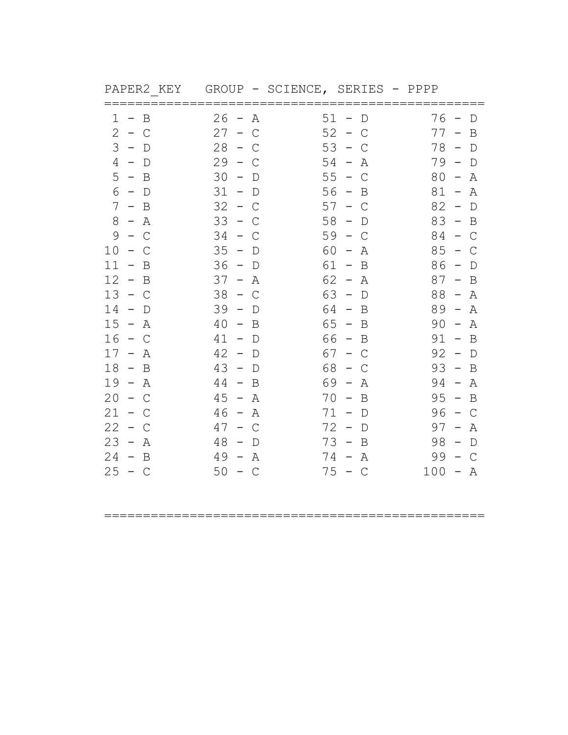| PAPER2 KEY                                   | GROUP - SCIENCE, SERIES - PPPP                       |                                                       |                                                      |
|----------------------------------------------|------------------------------------------------------|-------------------------------------------------------|------------------------------------------------------|
| B<br>ı<br>$\qquad \qquad -$                  | 26<br>Α<br>$\qquad \qquad -$                         | ====<br>51<br>D                                       | 76<br>D                                              |
| $\mathbf{2}$<br>$\sim$<br>$\mathsf{C}$       | 27<br>$\mathcal{C}$<br>$ \,$                         | 52<br>C<br>$ \,$                                      | 77<br>B                                              |
| 3<br>$\overline{\phantom{0}}$<br>$\mathbb D$ | 28<br>С                                              | 53<br>C                                               | 78<br>$\mathbb D$                                    |
| 4<br>D<br>$\hspace{0.1mm}$                   | 29<br>C                                              | 54<br>Α                                               | 79<br>D                                              |
| 5<br>$-$ B                                   | 30<br>$\hspace{0.1mm}-\hspace{0.1mm}$<br>D           | 55<br>$\mathsf{C}$<br>$\hspace{0.1mm}-\hspace{0.1mm}$ | 80<br>Α<br>$\overline{\phantom{a}}$                  |
| 6<br>$-$ D                                   | 31<br>$-$ D                                          | 56<br>B<br>$\qquad \qquad -$                          | 81<br>Α<br>$\overline{\phantom{a}}$                  |
| 7<br>B<br>$-$ .                              | 32<br>C                                              | 57<br>C                                               | 82<br>$\mathbb D$                                    |
| 8<br>Α<br>$\sim$                             | 33<br>$\overline{\phantom{a}}$<br>С                  | 58<br>$\qquad \qquad -$<br>D                          | 83<br>$\mathbf B$<br>$\hspace{0.1mm}-\hspace{0.1mm}$ |
| 9<br>C<br>$-$                                | 34<br>C                                              | 59<br>C<br>$\overline{\phantom{m}}$                   | 84<br>C<br>$\qquad \qquad -$                         |
| 10<br>C<br>$\overline{\phantom{0}}$          | 35<br>D<br>$\overline{\phantom{a}}$                  | 60<br>Α<br>$\overline{\phantom{a}}$                   | 85<br>C                                              |
| 11<br>B                                      | 36<br>$\mathbb D$<br>$\hspace{0.1mm}-\hspace{0.1mm}$ | 61<br>B<br>$\hspace{0.1mm}-\hspace{0.1mm}$            | 86<br>D                                              |
| 12<br>B<br>$-$ .                             | 37<br>Α<br>$-$                                       | 62<br>Α<br>$\overline{\phantom{m}}$                   | 87<br>B                                              |
| 13<br>$-$ C                                  | 38<br>$-$ C                                          | 63<br>$\hspace{0.1mm}-\hspace{0.1mm}$<br>$\Box$       | 88<br>Α<br>$\overline{\phantom{a}}$                  |
| 14<br>D                                      | 39<br>D<br>$\overline{\phantom{m}}$                  | 64<br>B<br>$\overline{\phantom{0}}$                   | 89<br>Α<br>$\overline{\phantom{0}}$                  |
| 15<br>$\sim$<br>Α                            | 40<br>B<br>$-$ .                                     | 65<br>B<br>$\overline{\phantom{m}}$                   | 90<br>Α                                              |
| 16<br>C<br>$\hspace{0.1mm}-\hspace{0.1mm}$   | 41<br>D<br>$\overline{\phantom{m}}$                  | 66<br>B<br>$\hspace{0.1mm}-\hspace{0.1mm}$            | 91<br>B<br>$\overline{\phantom{m}}$                  |
| 17<br>Α<br>$\overline{\phantom{m}}$          | 42<br>$\overline{\phantom{m}}$<br>D                  | 67<br>C                                               | 92<br>$\mathbb D$<br>$\overline{\phantom{m}}$        |
| 18<br>B<br>$\sim$                            | 43<br>$\Box$<br>$\overline{\phantom{a}}$             | 68<br>C                                               | 93<br>B<br>$\hspace{0.1mm}-\hspace{0.1mm}$           |
| 19<br>– A                                    | 44<br>B<br>$-$ .                                     | 69<br>Α<br>$\hspace{0.1mm}-\hspace{0.1mm}$            | 94<br>Α<br>$\overline{\phantom{m}}$                  |
| 20<br>C                                      | 45<br>Α<br>$\overline{\phantom{0}}$                  | 70<br>B                                               | 95<br>B                                              |
| 21<br>$\frac{1}{2}$<br>C                     | 46<br>Α<br>$\sim$                                    | 71<br>$\mathbb D$<br>$\hspace{0.1mm}-\hspace{0.1mm}$  | 96<br>$\mathcal{C}$<br>$\overline{\phantom{0}}$      |
| 22<br>C<br>$-$                               | 47<br>С<br>$\qquad \qquad -$                         | 72<br>D<br>$\overline{\phantom{m}}$                   | 97<br>Α<br>$\overline{\phantom{m}}$                  |
| 23<br>$-$ .<br>Α                             | 48<br>D                                              | 73<br>B<br>$\overline{\phantom{m}}$                   | 98<br>D                                              |
| 24<br>B<br>$\overline{\phantom{0}}$          | 49<br>Α<br>$-$                                       | 74<br>Α<br>$\overline{\phantom{m}}$                   | 99<br>C                                              |
| 25<br>$-$ C                                  | 50<br>$-$ C                                          | 75<br>$-$ C                                           | 100<br>A<br>$\qquad \qquad -$                        |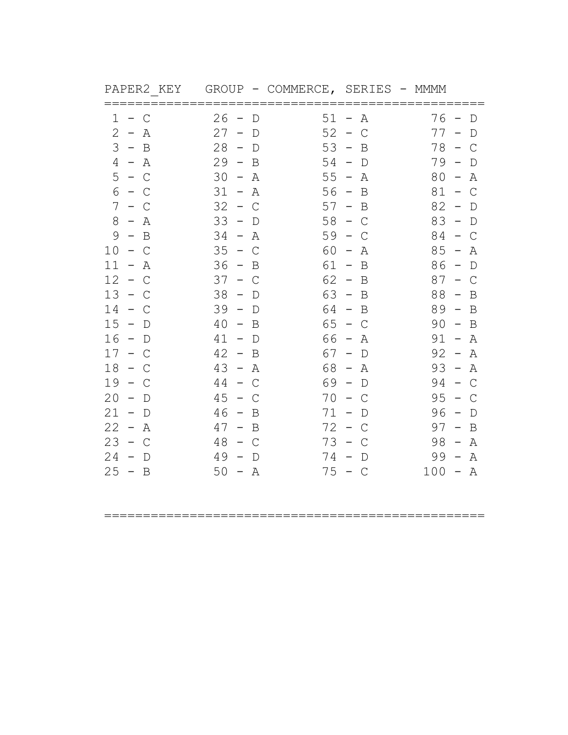| PAPER2 KEY                          | GROUP                                           | - COMMERCE, SERIES |                                                 | – MMMM                                                |
|-------------------------------------|-------------------------------------------------|--------------------|-------------------------------------------------|-------------------------------------------------------|
| 1<br>$\mathsf{C}$<br>$-$            | 26<br>D<br>$\overline{\phantom{0}}$             | $51 -$             | Α                                               | 76<br>D<br>$\overline{\phantom{0}}$                   |
| 2<br>$\sim$<br>Α                    | 27<br>$\overline{\phantom{m}}$<br>$\mathbb D$   | 52                 | $\hspace{0.1mm}-\hspace{0.1mm}$<br>$\mathsf{C}$ | 77<br>D                                               |
| 3<br>$-$ B                          | 28<br>$-$ D                                     | 53                 | $\overline{\phantom{a}}$<br>B                   | 78<br>C<br>$\hspace{0.1mm}-\hspace{0.1mm}$            |
| 4<br>$- A$                          | 29<br>$\sim$<br>B                               |                    | $54 - D$                                        | 79<br>D<br>$\overline{\phantom{0}}$                   |
| $5 - C$                             | 30<br>Α<br>$\hspace{0.1mm}-\hspace{0.1mm}$      | $55 -$             | Α                                               | 80<br>Α<br>$\qquad \qquad -$                          |
| 6<br>C<br>$\sim$                    | 31<br>$\hspace{0.1mm}-\hspace{0.1mm}$<br>Α      | $56 -$             | B                                               | 81<br>$\mathsf{C}$<br>$\qquad \qquad -$               |
| 7<br>$-$<br>С                       | 32<br>$\sim$<br>С                               | 57                 | B<br>$\overline{\phantom{m}}$                   | 82<br>$\overline{\phantom{0}}$<br>D                   |
| 8<br>$- A$                          | 33<br>$-$ D                                     | 58                 | $-$ C                                           | 83<br>$-$ D                                           |
| 9<br>$\mathbf B$<br>$\leftarrow$    | 34<br>Α<br>$\overline{\phantom{0}}$             | 59                 | С<br>$\overline{\phantom{0}}$                   | 84<br>$\mathsf{C}$<br>$\sim$                          |
| 10<br>C<br>$\overline{\phantom{m}}$ | 35<br>$\mathsf{C}$<br>$\sim$                    | 60                 | Α<br>$\overline{\phantom{m}}$                   | 85<br>$\overline{\phantom{0}}$<br>Α                   |
| 11<br>Α<br>$ \,$                    | 36<br>B<br>$\overline{\phantom{0}}$             | 61                 | B<br>$\overline{\phantom{0}}$                   | 86<br>D<br>$\overline{\phantom{0}}$                   |
| 12<br>$-$ C                         | 37<br>C<br>$\overline{\phantom{0}}$             | $62 -$             | B                                               | 87<br>C<br>$\overline{\phantom{m}}$                   |
| 13<br>$-$ C                         | 38<br>$-$ D                                     | $63 -$             | B                                               | 88<br>B<br>$\overline{\phantom{0}}$                   |
| 14<br>$-$ C                         | 39<br>$-$ D                                     | 64 -               | $\mathbf B$                                     | $89 -$<br>$\mathbf B$                                 |
| 15<br>$\sim$<br>D                   | 40<br>B<br>$\equiv$                             | 65                 | $\overline{\phantom{0}}$<br>С                   | 90<br>B<br>$\overline{\phantom{0}}$                   |
| 16<br>$-$ D                         | 41<br>$-$ D                                     | 66                 | $\hspace{0.1mm}-\hspace{0.1mm}$<br>Α            | 91<br>$\sim$<br>A                                     |
| 17<br>$\sim$<br>C                   | 42<br>$\sim$<br>B                               | 67                 | $\hspace{0.1mm}-\hspace{0.1mm}$<br>D            | 92<br>Α<br>$\hspace{0.1mm}-\hspace{0.1mm}$            |
| 18<br>$\sim$<br>C                   | 43<br>$\sim$<br>A                               | 68                 | Α<br>$\hspace{0.1mm}-\hspace{0.1mm}$            | 93<br>$\hspace{0.1mm}-\hspace{0.1mm}$<br>Α            |
| 19<br>$\sim$<br>C                   | 44<br>$\mathsf{C}$<br>$\equiv$ .                | 69 -               | D                                               | 94<br>$\mathsf{C}$<br>$\hspace{0.1mm}-\hspace{0.1mm}$ |
| 20<br>$\overline{\phantom{m}}$<br>D | 45<br>$\overline{\phantom{m}}$<br>C             | 70                 | C<br>$\overline{\phantom{m}}$                   | 95<br>С                                               |
| $21 - D$                            | 46<br>$-$ B                                     | $71 -$             | D                                               | 96<br>$\overline{\phantom{a}}$<br>$\Box$              |
| 22<br>– A                           | 47<br>$-$ B                                     | 72                 | $\sim$<br>C                                     | 97<br>$\mathbf B$<br>$\overline{\phantom{a}}$         |
| 23<br>$\sim$<br>$\mathcal{C}$       | 48<br>$\mathcal{C}$<br>$\overline{\phantom{0}}$ | 73                 | $\overline{\phantom{a}}$<br>C                   | 98<br>Α<br>$\hspace{0.1mm}-\hspace{0.1mm}$            |
| 24<br>$\overline{\phantom{m}}$<br>D | 49<br>$\overline{\phantom{m}}$<br>$\mathbb D$   | 74                 | $\overline{\phantom{a}}$<br>D                   | 99<br>Α<br>$\overline{\phantom{m}}$                   |
| $25 - B$                            | $50 - A$                                        |                    | $75 - C$                                        | $100 - A$                                             |
|                                     |                                                 |                    |                                                 |                                                       |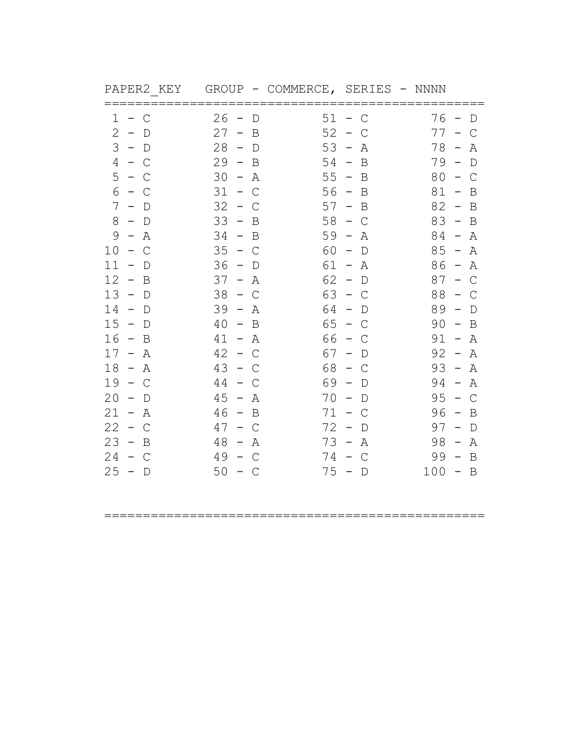| PAPER2 KEY                                     | GROUP                                      |          | - COMMERCE, SERIES - NNNN               |                                                |
|------------------------------------------------|--------------------------------------------|----------|-----------------------------------------|------------------------------------------------|
| 1<br>C<br>$-$                                  | 26<br>D<br>$\overline{\phantom{0}}$        | $51 -$   | C                                       | 76<br>D<br>$\overline{\phantom{0}}$            |
| 2<br>$\sim$<br>D                               | 27<br>B<br>$-$                             | 52       | $\overline{\phantom{m}}$<br>C           | 77<br>C                                        |
| 3<br>$-$ D                                     | 28<br>$-$ D                                | 53       | $\hspace{0.1mm}-\hspace{0.1mm}$<br>Α    | 78<br>$\overline{\phantom{0}}$<br>Α            |
| 4<br>$-$ C                                     | 29<br>$\sim$<br>B                          | $54 -$   | B                                       | $79 -$<br>$\mathbb D$                          |
| 5<br>$-$ C                                     | 30<br>$\equiv$<br>Α                        | $55 -$   | B                                       | 80<br>$\mathsf{C}$<br>$\overline{\phantom{0}}$ |
| 6<br>– C                                       | 31<br>$\mathsf{C}$<br>$\sim$               | $56 -$   | B                                       | 81<br>B<br>$\qquad \qquad -$                   |
| 7<br>$\overline{\phantom{m}}$<br>$\Box$        | 32<br>$\overline{\phantom{m}}$<br>С        | 57       | B<br>$\hspace{0.1mm}-\hspace{0.1mm}$    | 82<br>B<br>$\overline{\phantom{0}}$            |
| 8<br>$-$ D                                     | 33<br>$\sim$<br>B                          | 58       | $-$ C                                   | $83 - B$                                       |
| 9<br>Α<br>$\overline{\phantom{m}}$             | 34<br>$-$ B                                | 59       | Α<br>$\hspace{0.1mm}-\hspace{0.1mm}$    | 84 –<br>Α                                      |
| 10<br>$\mathsf{C}$<br>$\overline{\phantom{0}}$ | 35<br>$-$ C                                | 60       | $\overline{\phantom{m}}$<br>$\mathbb D$ | 85<br>Α<br>$\hspace{0.1mm}-\hspace{0.1mm}$     |
| 11<br>$\overline{\phantom{m}}$<br>D            | 36<br>$\hspace{0.1mm}-\hspace{0.1mm}$<br>D | 61       | Α<br>$\sim$                             | 86<br>Α<br>$\sim$                              |
| 12<br>B<br>$\overline{\phantom{0}}$            | 37<br>Α<br>$ \,$                           | $62 -$   | $\mathbb D$                             | 87<br>C<br>$\hspace{0.1mm}-\hspace{0.1mm}$     |
| 13<br>$-$ D                                    | 38<br>C<br>$\sim$                          | 63       | $-$ C                                   | 88<br>$-$ C                                    |
| 14<br>$-$ D                                    | 39<br>$\sim$<br>Α                          | 64       | $\overline{\phantom{0}}$<br>D           | 89<br>$\overline{\phantom{a}}$<br>$\mathbb D$  |
| 15<br>$\sim$<br>$\mathbb D$                    | 40<br>B<br>$\overline{\phantom{a}}$        | 65       | $\sim$<br>С                             | 90<br>B<br>$\overline{a}$                      |
| 16<br>$-$ B                                    | 41<br>– A                                  | 66       | $\sim$<br>C                             | 91<br>– A                                      |
| $17 -$<br>Α                                    | 42<br>$\leftarrow$<br>C                    | 67       | $\hspace{0.1mm}-\hspace{0.1mm}$<br>D    | 92<br>Α<br>$\hspace{0.1mm}-\hspace{0.1mm}$     |
| 18<br>$- A$                                    | 43<br>$ \,$<br>C                           | 68       | C<br>$\sim$                             | 93<br>$\hspace{0.1mm}-\hspace{0.1mm}$<br>Α     |
| 19<br>$\sim$<br>C                              | 44<br>$\equiv$ .<br>С                      | 69 -     | D                                       | 94<br>$\hspace{0.1mm}-\hspace{0.1mm}$<br>Α     |
| 20<br>$\overline{\phantom{m}}$<br>D            | 45<br>$\overline{\phantom{m}}$<br>Α        | 70       | $\overline{\phantom{m}}$<br>D           | 95<br>$\mathsf{C}$<br>$\overline{\phantom{0}}$ |
| $21 - A$                                       | 46<br>$-$ B                                | $71 -$   | C                                       | 96<br>$-$ B                                    |
| 22<br>$\sim$<br>C                              | 47<br>C<br>$\overline{\phantom{m}}$        | 72       | $\hspace{0.1mm}-\hspace{0.1mm}$<br>D    | 97<br>$\mathbb D$<br>$\overline{\phantom{m}}$  |
| 23<br>$\sim$<br>B                              | 48<br>Α<br>$\overline{\phantom{m}}$        | 73       | $\overline{\phantom{a}}$<br>Α           | 98<br>Α<br>$\hspace{0.1mm}-\hspace{0.1mm}$     |
| 24<br>$-$ C                                    | 49<br>$\mathsf{C}$<br>$\sim$               | 74 –     | C                                       | 99<br>B<br>$\overline{\phantom{a}}$            |
| $25 - D$                                       | 50<br>– C                                  | $75 - D$ |                                         | $100 - B$                                      |
|                                                |                                            |          |                                         |                                                |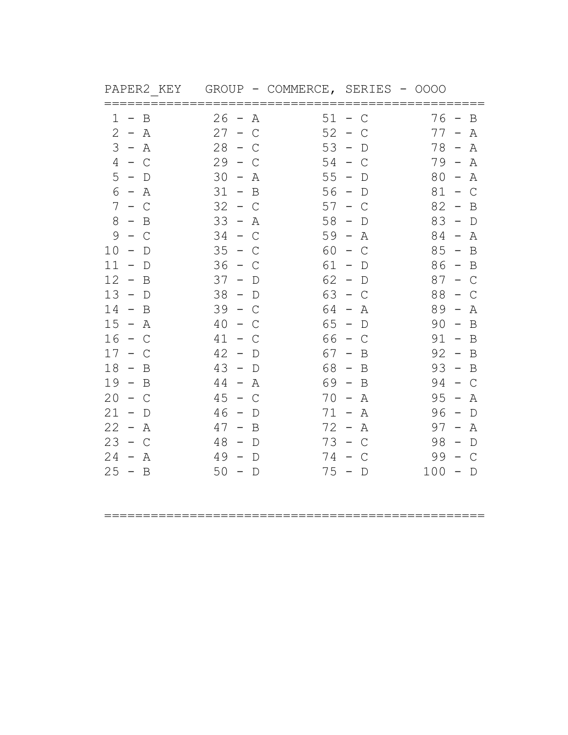| PAPER2 KEY                                                                                                 |                                                                                                               | GROUP - COMMERCE, SERIES                                                                                      | - 0000                                                                                                            |
|------------------------------------------------------------------------------------------------------------|---------------------------------------------------------------------------------------------------------------|---------------------------------------------------------------------------------------------------------------|-------------------------------------------------------------------------------------------------------------------|
| B<br>1<br>$-$ .<br>$2 - A$<br>3<br>– A<br>4<br>$-$ C                                                       | 26<br>Α<br>$\overline{\phantom{0}}$<br>27<br>$ \,$<br>C<br>28<br>$\sim$<br>C<br>29<br>$-$ C                   | $51 -$<br>$\mathsf C$<br>52<br>$\hspace{0.1mm}-\hspace{0.1mm}$<br>C<br>53<br>$\sim$<br>D<br>54<br>– C         | 76 –<br>B<br>$77 -$<br>Α<br>$78 -$<br>Α<br>$79 -$<br>Α                                                            |
| $5 - D$<br>6<br>– A<br>7<br>$-$ C<br>8                                                                     | 30<br>$\hspace{0.1mm}-\hspace{0.1mm}$<br>A<br>$31 - B$<br>32<br>$\sim$<br>C<br>33                             | 55<br>$\overline{\phantom{a}}$<br>$\mathbb D$<br>$56 -$<br>$\mathbb D$<br>57<br>$\overline{\phantom{0}}$<br>C | 80<br>$\hspace{0.1mm}-\hspace{0.1mm}$<br>Α<br>$81 - C$<br>82<br>B<br>$\overline{\phantom{a}}$<br>$83 - D$         |
| $-$ B<br>9<br>C<br>$\sim$<br>10<br>$\mathbb D$<br>$\qquad \qquad -$<br>11<br>$\overline{\phantom{m}}$<br>D | – A<br>34<br>$\overline{\phantom{0}}$<br>C<br>35<br>$\sim$<br>C<br>36<br>$\hspace{0.1mm}-\hspace{0.1mm}$<br>C | 58<br>– D<br>$59 -$<br>Α<br>60<br>$\overline{\phantom{m}}$<br>C<br>61<br>$\hspace{0.1mm}-\hspace{0.1mm}$<br>D | $84 - A$<br>85<br>$\overline{B}$<br>$\overline{a}$<br>$86 -$<br>B                                                 |
| 12<br>$-$ B<br>$13 - D$<br>14<br>$-$ B                                                                     | 37<br>– D<br>38<br>$-$ D<br>39<br>$-$ C                                                                       | $62 - D$<br>63<br>$-$ C<br>64 -<br>A                                                                          | $87 -$<br>C<br>88<br>$\mathsf{C}$<br>$\overline{\phantom{m}}$<br>$89 -$<br>Α                                      |
| 15<br>$\sim$<br>Α<br>16<br>$-$ C<br>17<br>$\sim$<br>C                                                      | 40<br>$\overline{\phantom{m}}$<br>C<br>41<br>$-$ C<br>42<br>$-$ D                                             | 65<br>$\overline{\phantom{a}}$<br>$\mathbb D$<br>66<br>– C<br>67 –<br>B                                       | 90<br>B<br>$\hspace{0.1mm}-\hspace{0.1mm}$<br>$91 - B$<br>92<br>$-$ B                                             |
| 18<br>$-$ B<br>19<br>$-$ B<br>20<br>$\sim$<br>C                                                            | 43<br>$-$ D<br>44<br>$\equiv$<br>Α<br>45<br>$\overline{a}$<br>С                                               | 68<br>$\overline{\phantom{0}}$<br>B<br>69 -<br>B<br>70<br>Α<br>$\overline{\phantom{a}}$                       | 93<br>$\sim$<br>B<br>94<br>$\overline{\phantom{0}}$<br>$\mathsf{C}$<br>95<br>$\hspace{0.1mm}-\hspace{0.1mm}$<br>Α |
| $21 - D$<br>22<br>– A<br>23<br>$-$ C<br>24<br>$\sim$<br>Α                                                  | 46<br>$-$ D<br>47<br>$-$ B<br>48<br>$\sim$<br>D<br>49<br>$-$ D                                                | $71 -$<br>A<br>$72 -$<br>Α<br>$73 -$<br>$\mathsf{C}$<br>74 –<br>C                                             | 96<br>$-$ D<br>$97 -$<br>Α<br>98<br>$\hspace{0.1mm}-\hspace{0.1mm}$<br>$\mathbb D$<br>99<br>$\mathsf{C}$          |
| $25 - B$                                                                                                   | $50 - D$                                                                                                      | $75 - D$                                                                                                      | $100 - D$                                                                                                         |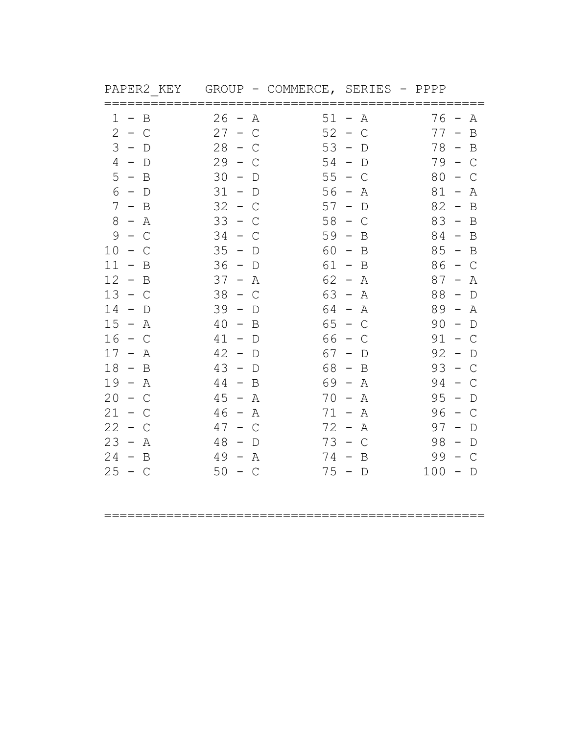| PAPER2 KEY                                                   | GROUP                                                                      | - COMMERCE, SERIES                              | - PPPP             |                                           |
|--------------------------------------------------------------|----------------------------------------------------------------------------|-------------------------------------------------|--------------------|-------------------------------------------|
| B<br>$\perp$<br>$\overline{\phantom{0}}$<br>2<br>$\sim$<br>C | 26<br>Α<br>$\overline{\phantom{0}}$<br>27<br>C<br>$\overline{\phantom{m}}$ | $51 -$<br>52<br>$\hspace{0.1mm}-\hspace{0.1mm}$ | Α<br>$\mathsf{C}$  | $76 -$<br>Α<br>$77 -$<br>$\mathbf B$      |
| 3<br>$-$ D                                                   | 28<br>$\overline{\phantom{0}}$<br>C                                        | 53<br>$\overline{\phantom{a}}$                  | D                  | 78 –<br>$\mathbf B$                       |
| 4<br>$-$ D                                                   | 29<br>$\sim$<br>С                                                          | 54<br>$-$ D                                     |                    | 79 –<br>$\mathsf{C}$                      |
| $5 - B$                                                      | 30<br>$\hspace{0.1mm}-\hspace{0.1mm}$<br>$\mathbb D$                       | 55<br>$-$ C                                     | 80                 | C                                         |
| 6<br>$-$ D                                                   | 31<br>$\hspace{0.1mm}-\hspace{0.1mm}$<br>$\mathbb D$                       | $56 -$                                          | 81<br>Α            | Α<br>$\hspace{0.1mm}-\hspace{0.1mm}$      |
| 7<br>$-$ B                                                   | 32<br>$\equiv$<br>C                                                        | 57<br>$\overline{\phantom{m}}$                  | 82<br>D            | B<br>$\overline{\phantom{0}}$             |
| 8<br>– A                                                     | 33<br>$-$ C                                                                | 58<br>$-$ C                                     |                    | $83 - B$                                  |
| 9<br>C<br>$\overline{\phantom{0}}$                           | 34<br>С<br>$\equiv$ .                                                      | 59<br>$\overline{\phantom{0}}$                  | B                  | $84 - B$                                  |
| 10<br>C<br>$-$                                               | 35<br>$\hspace{0.1mm}-\hspace{0.1mm}$<br>D                                 | 60<br>$\hspace{0.1mm}-\hspace{0.1mm}$           | 85<br>B            | B<br>$\hspace{0.1mm}-\hspace{0.1mm}$      |
| 11<br>B<br>$\overline{\phantom{m}}$                          | 36<br>$\hspace{0.1mm}-\hspace{0.1mm}$<br>D                                 | 61 -                                            | 86<br>B            | $\mathsf{C}$<br>$\overline{\phantom{0}}$  |
| 12<br>$-$ B                                                  | 37<br>Α<br>$-$ .                                                           | $62 -$                                          | 87<br>Α            | Α<br>$\hspace{0.1mm}-\hspace{0.1mm}$      |
| 13<br>$-$ C                                                  | 38<br>C<br>$\sim$                                                          | 63 -                                            | 88<br>Α            | $\Box$<br>$\hspace{0.1mm}-\hspace{0.1mm}$ |
| 14<br>$-$ D                                                  | 39<br>$\sim$<br>D                                                          | $64 - A$                                        |                    | $89 -$<br>Α                               |
| 15<br>$\sim$<br>Α                                            | 40<br>B<br>$\sim$                                                          | 65<br>$\overline{\phantom{0}}$                  | 90<br>С            | $\mathbb D$<br>$\overline{\phantom{0}}$   |
| 16<br>$-$ C                                                  | 41<br>$-$ D                                                                | 66<br>$\overline{\phantom{0}}$                  | 91<br>C            | $-$ C                                     |
| 17<br>Α<br>$\overline{\phantom{0}}$                          | 42<br>$-$ D                                                                | 67<br>$\sim$                                    | 92<br>D            | D<br>$\hspace{0.1mm}-\hspace{0.1mm}$      |
| 18<br>$-$ B                                                  | 43<br>$\hspace{0.1mm}-\hspace{0.1mm}$<br>$\Box$                            | 68<br>$\sim$                                    | 93<br>B            | C                                         |
| 19<br>$- A$                                                  | 44<br>$\equiv$<br>B                                                        | 69 -                                            | 94<br>Α            | C                                         |
| 20<br>$\equiv$ .<br>C                                        | 45<br>$-$<br>Α                                                             | 70<br>$\hspace{0.1mm}-\hspace{0.1mm}$           | 95<br>Α            | D                                         |
| 21<br>$-$ C                                                  | 46<br>– A                                                                  | $71 -$                                          | 96<br>Α            | C<br>$\overline{\phantom{0}}$             |
| 22<br>С<br>$\sim$                                            | 47<br>C<br>$\overline{\phantom{0}}$                                        | $72 -$                                          | 97<br>Α            | D                                         |
| 23<br>$\sim$<br>Α                                            | 48<br>$\overline{\phantom{m}}$<br>D                                        | $73 -$                                          | 98<br>$\mathsf{C}$ | $\mathbb D$<br>$\overline{\phantom{0}}$   |
| 24<br>$-$ B                                                  | 49<br>Α<br>$\sim$                                                          | $74 -$                                          | 99<br>B            | $\mathsf{C}$                              |
| $25 - C$                                                     | $50 - C$                                                                   | $75 - D$                                        | 100                | $\Box$<br>$\overline{\phantom{0}}$        |
|                                                              |                                                                            |                                                 |                    |                                           |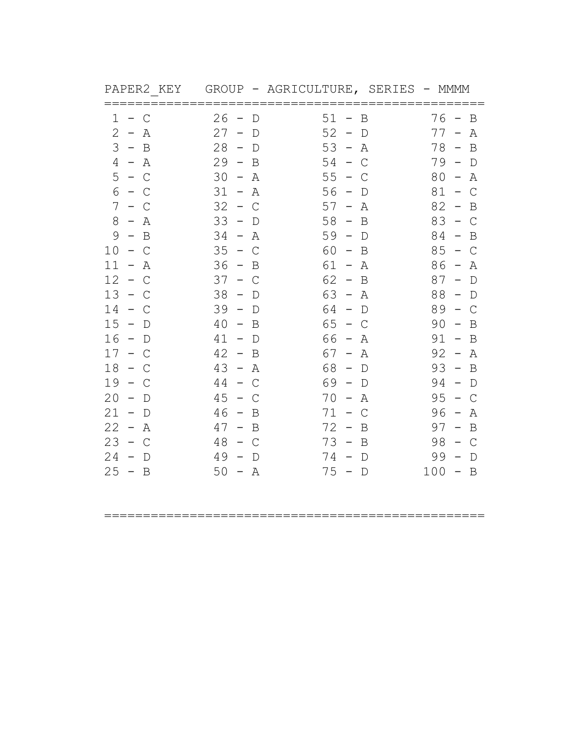| PAPER2 KEY                                    | GROUP - AGRICULTURE, SERIES                          |                                                      | – MMMM                                                |
|-----------------------------------------------|------------------------------------------------------|------------------------------------------------------|-------------------------------------------------------|
| 1<br>$\mathsf{C}$<br>$-$                      | 26<br>D<br>$\overline{\phantom{0}}$                  | $51 -$<br>B                                          | $76 -$<br>B                                           |
| 2<br>$\sim$<br>Α                              | 27<br>$\overline{\phantom{m}}$<br>$\mathbb D$        | 52<br>$\hspace{0.1mm}-\hspace{0.1mm}$<br>$\mathbb D$ | $77 -$<br>Α                                           |
| 3<br>$-$ B                                    | 28<br>$-$ D                                          | 53<br>$\overline{\phantom{a}}$<br>Α                  | $78 -$<br>$\mathbf B$                                 |
| 4<br>$- A$                                    | 29<br>$\sim$<br>B                                    | 54<br>$\sim$<br>$\mathsf{C}$                         | $79 -$<br>$\mathbb D$                                 |
| $5 - C$                                       | 30<br>Α<br>$\hspace{0.1mm}-\hspace{0.1mm}$           | 55<br>$\hspace{0.1mm}-\hspace{0.1mm}$<br>C           | 80<br>Α<br>$\hspace{0.1mm}-\hspace{0.1mm}$            |
| 6<br>C<br>$\sim$                              | 31<br>Α<br>$\hspace{0.1mm}-\hspace{0.1mm}$           | 56<br>$\qquad \qquad -$<br>$\mathbb D$               | 81<br>$\mathsf{C}$<br>$\qquad \qquad -$               |
| 7<br>$-$<br>C                                 | 32<br>C<br>$\sim$                                    | 57<br>$\hspace{0.1mm}-\hspace{0.1mm}$<br>Α           | 82<br>B<br>$\qquad \qquad -$                          |
| 8<br>$- A$                                    | 33<br>$-$ D                                          | 58<br>$\hspace{0.1mm}-\hspace{0.1mm}$<br>B           | 83<br>$-$ C                                           |
| 9<br>$\mathbf B$<br>$\equiv$                  | 34<br>Α<br>$\overline{\phantom{0}}$                  | 59<br>$\hspace{0.1mm}-\hspace{0.1mm}$<br>D           | 84<br>B<br>$\overline{\phantom{0}}$                   |
| 10<br>C<br>$ \,$                              | 35<br>$\mathsf{C}$<br>$\sim$                         | 60<br>B<br>$\hspace{0.1mm}-\hspace{0.1mm}$           | 85<br>$\mathsf{C}$<br>$\hspace{0.1mm}-\hspace{0.1mm}$ |
| 11<br>Α<br>$-$                                | 36<br>B<br>$\overline{\phantom{0}}$                  | $61 -$<br>Α                                          | 86<br>Α<br>$\hspace{0.1mm}-\hspace{0.1mm}$            |
| 12<br>$\mathcal{C}$<br>$\sim$                 | 37<br>C<br>$\overline{\phantom{0}}$                  | $62 -$<br>B                                          | 87<br>$\mathbb D$<br>$\hspace{0.1mm}-\hspace{0.1mm}$  |
| 13<br>$-$ C                                   | 38<br>$\mathbb D$<br>$\hspace{0.1mm}-\hspace{0.1mm}$ | $63 -$<br>Α                                          | 88<br>$-$ D                                           |
| 14<br>$-$ C                                   | 39<br>$\sim$<br>D                                    | 64 -<br>$\mathbb D$                                  | 89<br>$\mathsf{C}$<br>$\overline{\phantom{0}}$        |
| 15<br>$\overline{\phantom{0}}$<br>$\mathbb D$ | 40<br>B<br>$\equiv$                                  | 65<br>$\sim$<br>C                                    | 90<br>B<br>$\hspace{0.1mm}-\hspace{0.1mm}$            |
| 16<br>$-$ D                                   | 41<br>$-$ D                                          | 66<br>$\sim$<br>Α                                    | 91<br>$\mathbf B$<br>$\sim$                           |
| 17<br>$\sim$<br>С                             | 42<br>$\sim$<br>B                                    | $67 -$<br>Α                                          | 92<br>Α<br>$\hspace{0.1mm}-\hspace{0.1mm}$            |
| 18<br>$\equiv$ .<br>C                         | 43<br>$\leftarrow$<br>A                              | 68<br>$\mathbb D$<br>$\hspace{0.1mm}-\hspace{0.1mm}$ | 93<br>$\mathbf B$<br>$\hspace{0.1mm}-\hspace{0.1mm}$  |
| 19<br>$\sim$<br>С                             | 44<br>$\mathsf{C}$<br>$\equiv$ .                     | 69 -<br>D                                            | 94<br>$\mathbb D$<br>$\overline{\phantom{0}}$         |
| 20<br>D<br>$\overline{\phantom{m}}$           | 45<br>$\overline{\phantom{m}}$<br>C                  | 70<br>Α<br>$\overline{\phantom{a}}$                  | 95<br>$\mathsf{C}$                                    |
| $21 - D$                                      | 46<br>$-$ B                                          | $71 -$<br>$\mathsf{C}$                               | 96<br>Α<br>$\overline{\phantom{a}}$                   |
| 22<br>A<br>$\sim$                             | 47<br>$\overline{B}$<br>$\overline{\phantom{0}}$     | 72<br>B<br>$\hspace{0.1mm}-\hspace{0.1mm}$           | 97<br>$\mathbf B$<br>$\overline{\phantom{a}}$         |
| 23<br>$\sim$<br>$\mathcal{C}$                 | 48<br>$\mathsf{C}$<br>$\sim$                         | $73 -$<br>B                                          | 98<br>$\mathcal{C}$<br>$\overline{\phantom{0}}$       |
| 24<br>$\overline{\phantom{m}}$<br>D           | 49<br>$\overline{\phantom{m}}$<br>$\mathbb D$        | $74 -$<br>D                                          | 99<br>$\mathbb D$<br>$\overline{\phantom{m}}$         |
| $25 - B$                                      | $50 - A$                                             | $75 - D$                                             | $100 - B$                                             |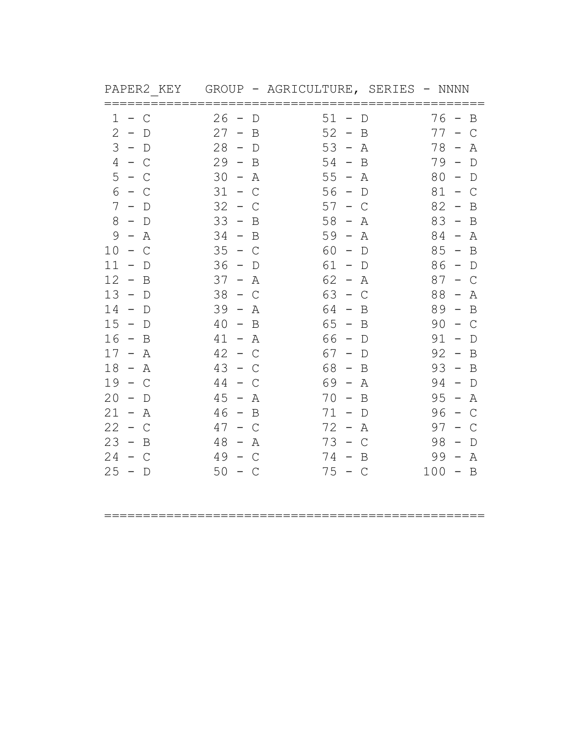| PAPER2 KEY                                     | GROUP - AGRICULTURE, SERIES                |                                               | – NNNN                                                |
|------------------------------------------------|--------------------------------------------|-----------------------------------------------|-------------------------------------------------------|
| 1<br>C<br>$-$                                  | 26<br>D<br>$\overline{\phantom{0}}$        | $51 -$<br>$\mathbb D$                         | $76 -$<br>B                                           |
| 2<br>$\sim$<br>D                               | 27<br>B<br>$-$                             | 52<br>$\hspace{0.1mm}-\hspace{0.1mm}$<br>B    | 77<br>$\mathsf{C}$<br>$\overline{\phantom{m}}$        |
| 3<br>$-$ D                                     | 28<br>$-$ D                                | $53 -$<br>Α                                   | 78<br>$\hspace{0.1mm}-\hspace{0.1mm}$<br>Α            |
| 4<br>$-$ C                                     | 29<br>$\sim$<br>B                          | $54 -$<br>B                                   | $79 -$<br>$\mathbb D$                                 |
| 5<br>$-$ C                                     | 30<br>$\equiv$<br>Α                        | $55 -$<br>Α                                   | 80<br>$\mathbb D$<br>$\overline{\phantom{0}}$         |
| 6<br>– C                                       | 31<br>$\mathsf{C}$<br>$\sim$               | $56 -$<br>$\mathbb D$                         | $81 -$<br>$\mathsf{C}$                                |
| 7<br>$\qquad \qquad -$<br>- D                  | 32<br>$\overline{\phantom{m}}$<br>С        | 57<br>C<br>$\overline{\phantom{m}}$           | 82<br>B<br>$\overline{\phantom{0}}$                   |
| 8<br>$-$ D                                     | 33<br>$\overline{a}$<br>B                  | 58<br>Α<br>$\overline{\phantom{a}}$           | $83 - B$                                              |
| 9<br>Α<br>$\overline{\phantom{a}}$             | 34<br>$-$ B                                | $59 -$<br>Α                                   | 84<br>Α<br>$\hspace{0.1mm}-\hspace{0.1mm}$            |
| 10<br>$\mathsf{C}$<br>$\overline{\phantom{0}}$ | 35<br>$-$ C                                | 60<br>$\overline{\phantom{m}}$<br>$\mathbb D$ | 85<br>B<br>$\hspace{0.1mm}-\hspace{0.1mm}$            |
| 11<br>$\overline{\phantom{m}}$<br>D            | 36<br>$\hspace{0.1mm}-\hspace{0.1mm}$<br>D | 61<br>$\hspace{0.1mm}-\hspace{0.1mm}$<br>D    | 86<br>D<br>$\hspace{0.1mm}-\hspace{0.1mm}$            |
| 12<br>B<br>$\overline{\phantom{0}}$            | 37<br>Α<br>$ \,$                           | $62 -$<br>Α                                   | 87<br>C<br>$\overline{\phantom{m}}$                   |
| 13<br>$-$ D                                    | 38<br>C<br>$\overline{\phantom{0}}$        | 63<br>$\mathsf C$<br>$\sim$                   | 88<br>Α<br>$\overline{\phantom{m}}$                   |
| 14<br>$-$ D                                    | 39<br>$\sim$<br>Α                          | 64 -<br>B                                     | $89 -$<br>B                                           |
| 15<br>$\sim$<br>$\mathbb D$                    | 40<br>B<br>$\overline{\phantom{a}}$        | $65 -$<br>B                                   | 90<br>$\mathsf{C}$<br>$\hspace{0.1mm}-\hspace{0.1mm}$ |
| 16<br>$-$ B                                    | 41<br>– A                                  | 66<br>– D                                     | 91<br>$\Box$<br>$\hspace{0.1mm}-\hspace{0.1mm}$       |
| $17 -$<br>Α                                    | 42<br>$\leftarrow$<br>C                    | 67<br>$\sim$<br>D                             | 92<br>B<br>$\overline{a}$                             |
| 18<br>$- A$                                    | 43<br>$\sim$ .<br>C                        | 68<br>$\hspace{0.1mm}-\hspace{0.1mm}$<br>B    | 93<br>$\hspace{0.1mm}-\hspace{0.1mm}$<br>B            |
| 19<br>$\sim$<br>$\mathsf{C}$                   | 44<br>$-$ .<br>С                           | 69 -<br>Α                                     | 94<br>$\hspace{0.1mm}-\hspace{0.1mm}$<br>$\mathbb D$  |
| 20<br>$\overline{\phantom{m}}$<br>D            | 45<br>$\overline{\phantom{m}}$<br>Α        | 70<br>B<br>$\hspace{0.1mm}-\hspace{0.1mm}$    | 95<br>$\hspace{0.1mm}-\hspace{0.1mm}$<br>Α            |
| $21 -$<br>A                                    | 46<br>$-$ B                                | $71 -$<br>D                                   | 96<br>$\mathcal{C}$<br>$\overline{\phantom{a}}$       |
| 22<br>$\mathsf{C}$<br>$\sim$                   | 47<br>C<br>$\overline{\phantom{m}}$        | $72 -$<br>Α                                   | 97<br>C                                               |
| 23<br>$\sim$<br>B                              | 48<br>Α<br>$\overline{\phantom{a}}$        | $73 -$<br>$\mathsf{C}$                        | 98<br>$\mathbb D$<br>$\overline{\phantom{0}}$         |
| 24<br>$\sim$<br>$\mathcal{C}$                  | 49<br>C<br>$\overline{\phantom{0}}$        | $74 -$<br>B                                   | 99<br>Α<br>$\overline{\phantom{a}}$                   |
| $25 - D$                                       | 50<br>– C                                  | $75 - C$                                      | $100 - B$                                             |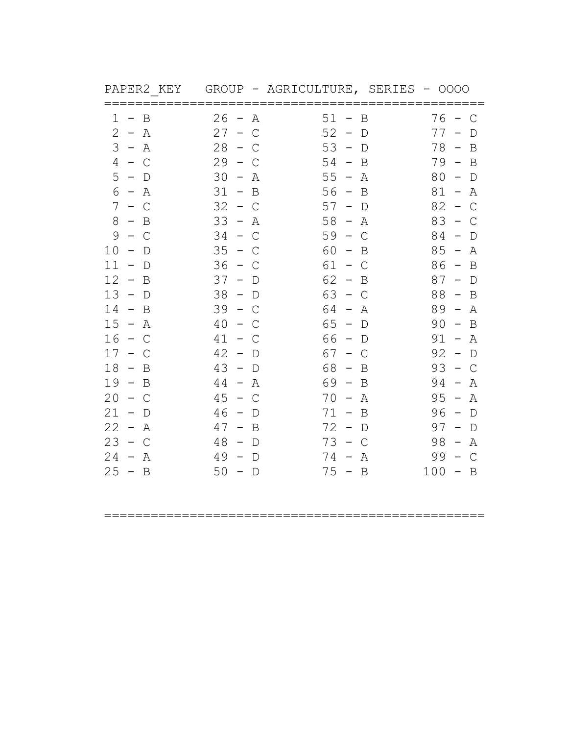| PAPER2 KEY                                    | GROUP - AGRICULTURE, SERIES                          |                                                | $-0000$                                               |
|-----------------------------------------------|------------------------------------------------------|------------------------------------------------|-------------------------------------------------------|
| B<br>1<br>$\overline{\phantom{0}}$            | 26<br>Α<br>$\overline{\phantom{0}}$                  | $51 -$<br>Β                                    | 76 -<br>$\mathbb C$                                   |
| 2<br>$- A$                                    | 27<br>$\mathsf{C}$<br>$\overline{\phantom{m}}$       | 52<br>$\hspace{0.1mm}-\hspace{0.1mm}$<br>D     | 77<br>D                                               |
| 3<br>$- A$                                    | 28<br>$\overline{a}$<br>C                            | 53<br>$\overline{\phantom{a}}$<br>D            | $78 -$<br>B                                           |
| 4<br>$-$ C                                    | 29<br>$\sim$<br>C                                    | $54 -$<br>B                                    | $79 -$<br>B                                           |
| 5<br>$-$ D                                    | 30<br>$\sim$<br>Α                                    | $55 -$<br>Α                                    | 80<br>$\mathbb D$<br>$\hspace{0.1mm}-\hspace{0.1mm}$  |
| 6<br>$- A$                                    | $31 -$<br>B                                          | $56 -$<br>B                                    | $81 -$<br>Α                                           |
| 7<br>$\frac{1}{2}$<br>C                       | 32<br>$\sim$<br>С                                    | 57<br>D<br>$\overline{\phantom{m}}$            | 82<br>$\mathsf{C}$<br>$\hspace{0.1mm}-\hspace{0.1mm}$ |
| 8<br>$-$ B                                    | 33<br>$- A$                                          | 58<br>$\sim$<br>Α                              | 83<br>$\overline{\phantom{a}}$<br>C                   |
| 9<br>$\mathsf{C}$<br>$\overline{\phantom{0}}$ | 34<br>$\mathsf{C}$<br>$\overline{\phantom{0}}$       | 59<br>$\mathsf{C}$<br>$\overline{\phantom{0}}$ | 84<br>$\mathbb D$<br>$\overline{\phantom{0}}$         |
| 10<br>$\overline{\phantom{m}}$<br>D           | 35<br>$\overline{\phantom{m}}$<br>C                  | 60<br>B<br>$\overline{\phantom{m}}$            | 85<br>Α<br>$\hspace{0.1mm}-\hspace{0.1mm}$            |
| 11<br>$\overline{\phantom{m}}$<br>D           | 36<br>$\overline{\phantom{0}}$<br>C                  | 61 -<br>$\mathsf{C}$                           | $86 -$<br>B                                           |
| 12<br>$\mathbf B$<br>$\sim$                   | 37<br>$-$ D                                          | 62<br>$\sim$<br>$\mathbf B$                    | $87 -$<br>$\mathbb D$                                 |
| 13<br>$-$ D                                   | 38<br>$-$ D                                          | 63<br>$-$ C                                    | 88<br>$-$ B                                           |
| 14<br>$-$ B                                   | 39<br>$-$ C                                          | 64<br>$\overline{\phantom{0}}$<br>Α            | $89 -$<br>Α                                           |
| 15<br>$\sim$<br>Α                             | 40<br>$\overline{\phantom{m}}$<br>C                  | 65<br>$\hspace{0.1mm}-\hspace{0.1mm}$<br>D     | 90<br>B<br>$\hspace{0.1mm}-\hspace{0.1mm}$            |
| 16<br>$\sim$<br>C                             | 41<br>$\equiv$ .<br>C                                | 66<br>$-$ D                                    | 91<br>– A                                             |
| 17<br>$\overline{\phantom{0}}$<br>C           | 42<br>$\equiv$<br>D                                  | 67<br>C<br>$\sim$                              | 92<br>$\hspace{0.1mm}-\hspace{0.1mm}$<br>$\mathbb D$  |
| 18<br>B<br>$\sim$                             | 43<br>$\hspace{0.1mm}-\hspace{0.1mm}$<br>$\mathbb D$ | 68<br>B<br>$\hspace{0.1mm}-\hspace{0.1mm}$     | 93<br>$\mathsf{C}$<br>$\hspace{0.1mm}-\hspace{0.1mm}$ |
| 19<br>$\sim$<br>B                             | 44<br>Α<br>$\equiv$                                  | 69 -<br>B                                      | 94<br>$\hspace{0.1mm}-\hspace{0.1mm}$<br>Α            |
| 20<br>$\overline{\phantom{m}}$<br>C           | 45<br>C<br>$\overline{\phantom{m}}$                  | 70<br>Α<br>$\hspace{0.1mm}-\hspace{0.1mm}$     | 95<br>Α<br>$\overline{\phantom{a}}$                   |
| 21<br>$\overline{\phantom{m}}$<br>$\Box$      | 46<br>$-$ D                                          | $71 - B$                                       | 96<br>$-$ D                                           |
| 22<br>$- A$                                   | 47<br>$-$ B                                          | 72<br>$-$ D                                    | 97<br>$\mathbb D$<br>$\hspace{0.1mm}-\hspace{0.1mm}$  |
| 23<br>$-$ C                                   | 48<br>$\mathbb D$<br>$\sim$                          | $73 -$<br>$\mathcal{C}$                        | $98 -$<br>Α                                           |
| 24<br>$\overline{\phantom{0}}$<br>Α           | 49<br>$\sim$<br>D                                    | $74 -$<br>Α                                    | 99<br>$\mathcal{C}$                                   |
| $25 - B$                                      | 50<br>$-$ D                                          | $75 - B$                                       | 100<br>$-$ B                                          |